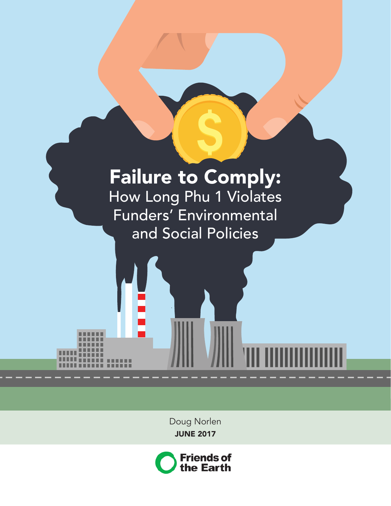# Failure to Comply: How Long Phu 1 Violates

Funders' Environmental and Social Policies

> Doug Norlen JUNE 2017

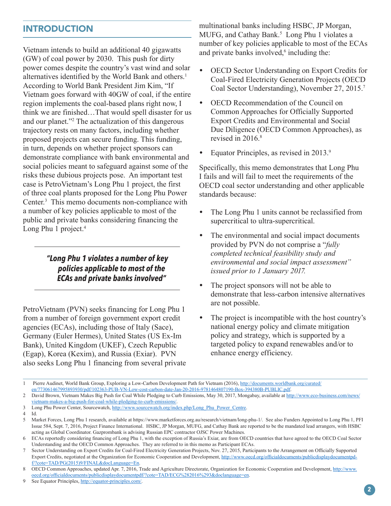# INTRODUCTION

Vietnam intends to build an additional 40 gigawatts (GW) of coal power by 2030. This push for dirty power comes despite the country's vast wind and solar alternatives identified by the World Bank and others.<sup>1</sup> According to World Bank President Jim Kim, "If Vietnam goes forward with 40GW of coal, if the entire region implements the coal-based plans right now, I think we are finished…That would spell disaster for us and our planet."2 The actualization of this dangerous trajectory rests on many factors, including whether proposed projects can secure funding. This funding, in turn, depends on whether project sponsors can demonstrate compliance with bank environmental and social policies meant to safeguard against some of the risks these dubious projects pose. An important test case is PetroVietnam's Long Phu 1 project, the first of three coal plants proposed for the Long Phu Power Center.3 This memo documents non-compliance with a number of key policies applicable to most of the public and private banks considering financing the Long Phu 1 project.<sup>4</sup>

#### *"Long Phu 1 violates a number of key policies applicable to most of the ECAs and private banks involved"*

PetroVietnam (PVN) seeks financing for Long Phu 1 from a number of foreign government export credit agencies (ECAs), including those of Italy (Sace), Germany (Euler Hermes), United States (US Ex-Im Bank), United Kingdom (UKEF), Czech Republic (Egap), Korea (Kexim), and Russia (Exiar). PVN also seeks Long Phu 1 financing from several private multinational banks including HSBC, JP Morgan, MUFG, and Cathay Bank.<sup>5</sup> Long Phu 1 violates a number of key policies applicable to most of the ECAs and private banks involved, $6$  including the:

- **•** OECD Sector Understanding on Export Credits for Coal-Fired Electricity Generation Projects (OECD Coal Sector Understanding), November 27, 2015.7
- **•** OECD Recommendation of the Council on Common Approaches for Officially Supported Export Credits and Environmental and Social Due Diligence (OECD Common Approaches), as revised in  $2016<sup>8</sup>$
- Equator Principles, as revised in 2013.9

Specifically, this memo demonstrates that Long Phu I fails and will fail to meet the requirements of the OECD coal sector understanding and other applicable standards because:

- The Long Phu 1 units cannot be reclassified from supercritical to ultra-supercritical.
- **•** The environmental and social impact documents provided by PVN do not comprise a "*fully completed technical feasibility study and environmental and social impact assessment" issued prior to 1 January 2017.*
- **•** The project sponsors will not be able to demonstrate that less-carbon intensive alternatives are not possible.
- **•** The project is incompatible with the host country's national energy policy and climate mitigation policy and strategy, which is supported by a targeted policy to expand renewables and/or to enhance energy efficiency.

3 Long Phu Power Center, Sourcewatch, [http://www.sourcewatch.org/index.php/Long\\_Phu\\_Power\\_Centre](http://www.sourcewatch.org/index.php/Long_Phu_Power_Centre).

<sup>1</sup> Pierre Audinet, World Bank Group, Exploring a Low-Carbon Development Path for Vietnam (2016), [http://documents.worldbank.org/curated/](http://documents.worldbank.org/curated/en/773061467995893930/pdf/102363-PUB-VN-Low-cost-carbon-date-Jan-20-2016-9781464807190-Box-394380B-PUBLIC.pdf) [en/773061467995893930/pdf/102363-PUB-VN-Low-cost-carbon-date-Jan-20-2016-9781464807190-Box-394380B-PUBLIC.pdf.](http://documents.worldbank.org/curated/en/773061467995893930/pdf/102363-PUB-VN-Low-cost-carbon-date-Jan-20-2016-9781464807190-Box-394380B-PUBLIC.pdf)

<sup>2</sup> David Brown, Vietnam Makes Big Push for Coal While Pledging to Curb Emissions, May 30, 2017, Mongabay, available at [http://www.eco-business.com/news/](http://www.eco-business.com/news/vietnam-makes-a-big-push-for-coal-while-pledging-to-curb-emissions/) [vietnam-makes-a-big-push-for-coal-while-pledging-to-curb-emissions/](http://www.eco-business.com/news/vietnam-makes-a-big-push-for-coal-while-pledging-to-curb-emissions/).

<sup>4</sup> Id.

<sup>5</sup> Market Forces, Long Phu 1 research, available at <https://www.marketforces.org.au/research/vietnam/long-phu-1/>. See also Funders Appointed to Long Phu 1, PFI Issue 584, Sept. 7, 2016, Project Finance International. HSBC, JP Morgan, MUFG, and Cathay Bank are reported to be the mandated lead arrangers, with HSBC acting as Global Coordinator. Gazprombank is advising Russian EPC contractor OJSC Power Machines.

<sup>6</sup> ECAs reportedly considering financing of Long Phu 1, with the exception of Russia's Exiar, are from OECD countries that have agreed to the OECD Coal Sector Understanding and the OECD Common Approaches. They are referred to in this memo as Participant ECAs.

<sup>7</sup> Sector Understanding on Export Credits for Coal-Fired Electricity Generation Projects, Nov. 27, 2015, Participants to the Arrangement on Officially Supported Export Credits, negotiated at the Organization for Economic Cooperation and Development, [http://www.oecd.org/officialdocuments/publicdisplaydocumentpd](http://www.oecd.org/officialdocuments/publicdisplaydocumentpdf/?cote=TAD/PG(2015)9/FINAL&docLanguage=En)[f/?cote=TAD/PG\(2015\)9/FINAL&docLanguage=En.](http://www.oecd.org/officialdocuments/publicdisplaydocumentpdf/?cote=TAD/PG(2015)9/FINAL&docLanguage=En)

<sup>8</sup> OECD Common Approaches, updated Apr. 7, 2016, Trade and Agriculture Directorate, Organization for Economic Cooperation and Development, [http://www.](http://www.oecd.org/officialdocuments/publicdisplaydocumentpdf/?cote=TAD/ECG%282016%293&doclanguage=en) [oecd.org/officialdocuments/publicdisplaydocumentpdf/?cote=TAD/ECG%282016%293&doclanguage=en](http://www.oecd.org/officialdocuments/publicdisplaydocumentpdf/?cote=TAD/ECG%282016%293&doclanguage=en).

<sup>9</sup> See Equator Principles, [http://equator-principles.com/.](http://equator-principles.com/)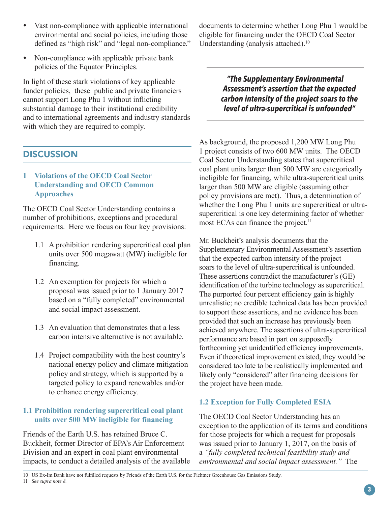- **•** Vast non-compliance with applicable international environmental and social policies, including those defined as "high risk" and "legal non-compliance."
- **•** Non-compliance with applicable private bank policies of the Equator Principles.

In light of these stark violations of key applicable funder policies, these public and private financiers cannot support Long Phu 1 without inflicting substantial damage to their institutional credibility and to international agreements and industry standards with which they are required to comply.

# **DISCUSSION**

#### **1 Violations of the OECD Coal Sector Understanding and OECD Common Approaches**

The OECD Coal Sector Understanding contains a number of prohibitions, exceptions and procedural requirements. Here we focus on four key provisions:

- 1.1 A prohibition rendering supercritical coal plan units over 500 megawatt (MW) ineligible for financing.
- 1.2 An exemption for projects for which a proposal was issued prior to 1 January 2017 based on a "fully completed" environmental and social impact assessment.
- 1.3 An evaluation that demonstrates that a less carbon intensive alternative is not available.
- 1.4 Project compatibility with the host country's national energy policy and climate mitigation policy and strategy, which is supported by a targeted policy to expand renewables and/or to enhance energy efficiency.

#### **1.1 Prohibition rendering supercritical coal plant units over 500 MW ineligible for financing**

Friends of the Earth U.S. has retained Bruce C. Buckheit, former Director of EPA's Air Enforcement Division and an expert in coal plant environmental impacts, to conduct a detailed analysis of the available documents to determine whether Long Phu 1 would be eligible for financing under the OECD Coal Sector Understanding (analysis attached).<sup>10</sup>

> *"The Supplementary Environmental Assessment's assertion that the expected carbon intensity of the project soars to the level of ultra-supercritical is unfounded"*

As background, the proposed 1,200 MW Long Phu 1 project consists of two 600 MW units. The OECD Coal Sector Understanding states that supercritical coal plant units larger than 500 MW are categorically ineligible for financing, while ultra-supercritical units larger than 500 MW are eligible (assuming other policy provisions are met). Thus, a determination of whether the Long Phu 1 units are supercritical or ultrasupercritical is one key determining factor of whether most ECAs can finance the project.<sup>11</sup>

Mr. Buckheit's analysis documents that the Supplementary Environmental Assessment's assertion that the expected carbon intensity of the project soars to the level of ultra-supercritical is unfounded. These assertions contradict the manufacturer's (GE) identification of the turbine technology as supercritical. The purported four percent efficiency gain is highly unrealistic; no credible technical data has been provided to support these assertions, and no evidence has been provided that such an increase has previously been achieved anywhere. The assertions of ultra-supercritical performance are based in part on supposedly forthcoming yet unidentified efficiency improvements. Even if theoretical improvement existed, they would be considered too late to be realistically implemented and likely only "considered" after financing decisions for the project have been made.

### **1.2 Exception for Fully Completed ESIA**

The OECD Coal Sector Understanding has an exception to the application of its terms and conditions for those projects for which a request for proposals was issued prior to January 1, 2017, on the basis of a *"fully completed technical feasibility study and environmental and social impact assessment."* The

10 US Ex-Im Bank have not fulfilled requests by Friends of the Earth U.S. for the Fichtner Greenhouse Gas Emissions Study. 11 *See supra note 8.*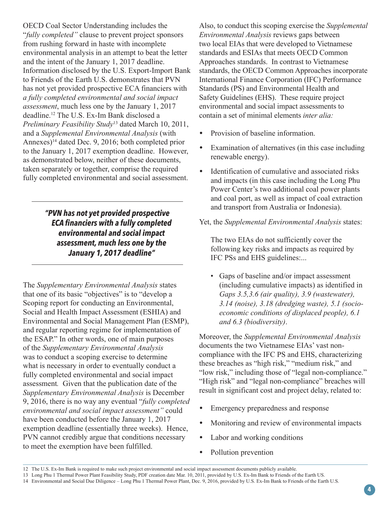OECD Coal Sector Understanding includes the "*fully completed"* clause to prevent project sponsors from rushing forward in haste with incomplete environmental analysis in an attempt to beat the letter and the intent of the January 1, 2017 deadline. Information disclosed by the U.S. Export-Import Bank to Friends of the Earth U.S. demonstrates that PVN has not yet provided prospective ECA financiers with *a fully completed environmental and social impact assessment*, much less one by the January 1, 2017 deadline.12 The U.S. Ex-Im Bank disclosed a *Preliminary Feasibility Study*13 dated March 10, 2011, and a *Supplemental Environmental Analysis* (with Annexes)<sup>14</sup> dated Dec. 9, 2016; both completed prior to the January 1, 2017 exemption deadline. However, as demonstrated below, neither of these documents, taken separately or together, comprise the required fully completed environmental and social assessment.

> *"PVN has not yet provided prospective ECA financiers with a fully completed environmental and social impact assessment, much less one by the January 1, 2017 deadline"*

The *Supplementary Environmental Analysis* states that one of its basic "objectives" is to "develop a Scoping report for conducting an Environmental. Social and Health Impact Assessment (ESHIA) and Environmental and Social Management Plan (ESMP), and regular reporting regime for implementation of the ESAP." In other words, one of main purposes of the *Supplementary Environmental Analysis*  was to conduct a scoping exercise to determine what is necessary in order to eventually conduct a fully completed environmental and social impact assessment*.* Given that the publication date of the *Supplementary Environmental Analysis* is December 9, 2016, there is no way any eventual "*fully completed environmental and social impact assessment"* could have been conducted before the January 1, 2017 exemption deadline (essentially three weeks). Hence, PVN cannot credibly argue that conditions necessary to meet the exemption have been fulfilled.

Also, to conduct this scoping exercise the *Supplemental Environmental Analysis* reviews gaps between two local EIAs that were developed to Vietnamese standards and ESIAs that meets OECD Common Approaches standards. In contrast to Vietnamese standards, the OECD Common Approaches incorporate International Finance Corporation (IFC) Performance Standards (PS) and Environmental Health and Safety Guidelines (EHS). These require project environmental and social impact assessments to contain a set of minimal elements *inter alia:*

- **•** Provision of baseline information.
- **•** Examination of alternatives (in this case including renewable energy).
- **•** Identification of cumulative and associated risks and impacts (in this case including the Long Phu Power Center's two additional coal power plants and coal port, as well as impact of coal extraction and transport from Australia or Indonesia).

#### Yet, the *Supplemental Environmental Analysis* states:

The two EIAs do not sufficiently cover the following key risks and impacts as required by IFC PSs and EHS guidelines:...

• Gaps of baseline and/or impact assessment (including cumulative impacts) as identified in *Gaps 3.5,3.6 (air quality), 3.9 (wastewater), 3.14 (noise), 3.18 (dredging waste), 5.1 (socioeconomic conditions of displaced people), 6.1 and 6.3 (biodiversity)*.

Moreover, the *Supplemental Environmental Analysis* documents the two Vietnamese EIAs' vast noncompliance with the IFC PS and EHS, characterizing these breaches as "high risk," "medium risk," and "low risk," including those of "legal non-compliance." "High risk" and "legal non-compliance" breaches will result in significant cost and project delay, related to:

- **•** Emergency preparedness and response
- Monitoring and review of environmental impacts
- **•** Labor and working conditions
- **•** Pollution prevention

<sup>12</sup> The U.S. Ex-Im Bank is required to make such project environmental and social impact assessment documents publicly available.

<sup>13</sup> Long Phu 1 Thermal Power Plant Feasibility Study, PDF creation date Mar. 10, 2011, provided by U.S. Ex-Im Bank to Friends of the Earth US.

<sup>14</sup> Environmental and Social Due Diligence – Long Phu 1 Thermal Power Plant, Dec. 9, 2016, provided by U.S. Ex-Im Bank to Friends of the Earth U.S.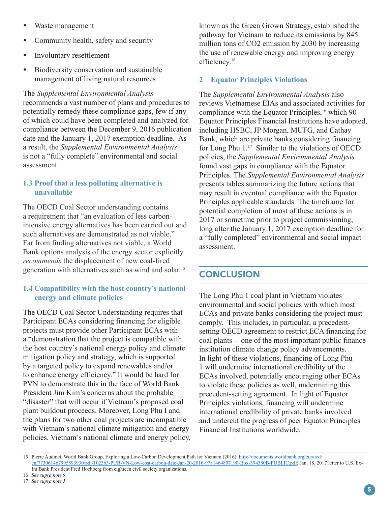- **•** Waste management
- **•** Community health, safety and security
- **•** Involuntary resettlement
- **•** Biodiversity conservation and sustainable management of living natural resources

The *Supplemental Environmental Analysis* recommends a vast number of plans and procedures to potentially remedy these compliance gaps, few if any of which could have been completed and analyzed for compliance between the December 9, 2016 publication date and the January 1, 2017 exemption deadline. As a result, the *Supplemental Environmental Analysis*  is not a "fully complete" environmental and social assessment.

#### **1.3 Proof that a less polluting alternative is unavailable**

The OECD Coal Sector understanding contains a requirement that "an evaluation of less carbonintensive energy alternatives has been carried out and such alternatives are demonstrated as not viable." Far from finding alternatives not viable, a World Bank options analysis of the energy sector explicitly *recommends* the displacement of new coal-fired generation with alternatives such as wind and solar.15

## **1.4 Compatibility with the host country's national energy and climate policies**

The OECD Coal Sector Understanding requires that Participant ECAs considering financing for eligible projects must provide other Participant ECAs with a "demonstration that the project is compatible with the host country's national energy policy and climate mitigation policy and strategy, which is supported by a targeted policy to expand renewables and/or to enhance energy efficiency." It would be hard for PVN to demonstrate this in the face of World Bank President Jim Kim's concerns about the probable "disaster" that will occur if Vietnam's proposed coal plant buildout proceeds. Moreover, Long Phu I and the plans for two other coal projects are incompatible with Vietnam's national climate mitigation and energy policies. Vietnam's national climate and energy policy,

known as the Green Grown Strategy, established the pathway for Vietnam to reduce its emissions by 845 million tons of CO2 emission by 2030 by increasing the use of renewable energy and improving energy efficiency.<sup>16</sup>

# **2 Equator Principles Violations**

The *Supplemental Environmental Analysis* also reviews Vietnamese EIAs and associated activities for compliance with the Equator Principles,<sup>16</sup> which 90 Equator Principles Financial Institutions have adopted, including HSBC, JP Morgan, MUFG, and Cathay Bank, which are private banks considering financing for Long Phu 1.17 Similar to the violations of OECD policies, the *Supplemental Environmental Analysis*  found vast gaps in compliance with the Equator Principles. The *Supplemental Environmental Analysis*  presents tables summarizing the future actions that may result in eventual compliance with the Equator Principles applicable standards. The timeframe for potential completion of most of these actions is in 2017 or sometime prior to project commissioning, long after the January 1, 2017 exemption deadline for a "fully completed" environmental and social impact assessment.

# **CONCLUSION**

The Long Phu 1 coal plant in Vietnam violates environmental and social policies with which most ECAs and private banks considering the project must comply. This includes, in particular, a precedentsetting OECD agreement to restrict ECA financing for coal plants -- one of the most important public finance institution climate change policy advancements. In light of these violations, financing of Long Phu 1 will undermine international credibility of the ECAs involved, potentially encouraging other ECAs to violate these policies as well, undermining this precedent-setting agreement. In light of Equator Principles violations, financing will undermine international credibility of private banks involved and undercut the progress of peer Equator Principles Financial Institutions worldwide.

<sup>15</sup> Pierre Audinet, World Bank Group, Exploring a Low-Carbon Development Path for Vietnam (2016), [http://documents.worldbank.org/curated/](http://documents.worldbank.org/curated/en/773061467995893930/pdf/102363-PUB-VN-Low-cost-carbon-date-Jan-20-2016-9781464807190-Box-394380B-PUBLIC.pdf) [en/773061467995893930/pdf/102363-PUB-VN-Low-cost-carbon-date-Jan-20-2016-9781464807190-Box-394380B-PUBLIC.pdf](http://documents.worldbank.org/curated/en/773061467995893930/pdf/102363-PUB-VN-Low-cost-carbon-date-Jan-20-2016-9781464807190-Box-394380B-PUBLIC.pdf); Jan. 18, 2017 letter to U.S. Ex-Im Bank President Fred Hochberg from eighteen civil society organizations.

<sup>16</sup> *See supra note 9.*

<sup>17</sup> *See supra note 5.*